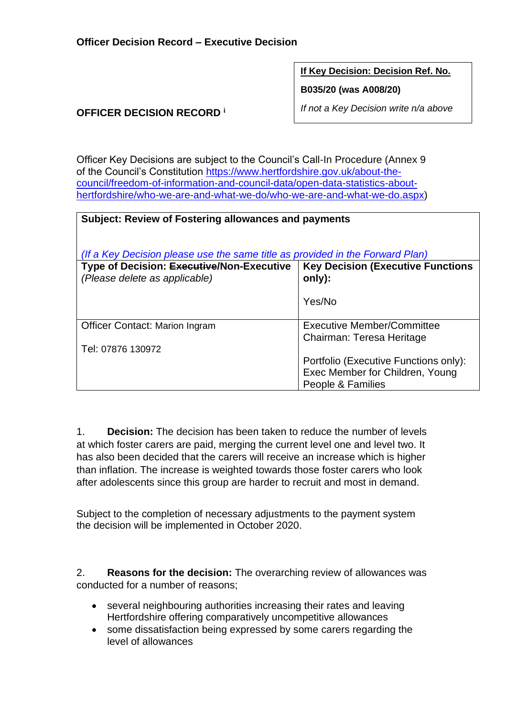**If Key Decision: Decision Ref. No.**

**B035/20 (was A008/20)**

*If not a Key Decision write n/a above*

## **OFFICER DECISION RECORD <sup>i</sup>**

Officer Key Decisions are subject to the Council's Call-In Procedure (Annex 9 of the Council's Constitution [https://www.hertfordshire.gov.uk/about-the](https://www.hertfordshire.gov.uk/about-the-council/freedom-of-information-and-council-data/open-data-statistics-about-hertfordshire/who-we-are-and-what-we-do/who-we-are-and-what-we-do.aspx)[council/freedom-of-information-and-council-data/open-data-statistics-about](https://www.hertfordshire.gov.uk/about-the-council/freedom-of-information-and-council-data/open-data-statistics-about-hertfordshire/who-we-are-and-what-we-do/who-we-are-and-what-we-do.aspx)[hertfordshire/who-we-are-and-what-we-do/who-we-are-and-what-we-do.aspx\)](https://www.hertfordshire.gov.uk/about-the-council/freedom-of-information-and-council-data/open-data-statistics-about-hertfordshire/who-we-are-and-what-we-do/who-we-are-and-what-we-do.aspx)

| <b>Subject: Review of Fostering allowances and payments</b>                                                                |                                                         |  |  |
|----------------------------------------------------------------------------------------------------------------------------|---------------------------------------------------------|--|--|
| (If a Key Decision please use the same title as provided in the Forward Plan)<br>Type of Decision: Executive/Non-Executive | <b>Key Decision (Executive Functions)</b>               |  |  |
| (Please delete as applicable)                                                                                              | only):                                                  |  |  |
|                                                                                                                            | Yes/No                                                  |  |  |
| <b>Officer Contact: Marion Ingram</b>                                                                                      | Executive Member/Committee<br>Chairman: Teresa Heritage |  |  |
| Tel: 07876 130972                                                                                                          |                                                         |  |  |
|                                                                                                                            | Portfolio (Executive Functions only):                   |  |  |
|                                                                                                                            | Exec Member for Children, Young                         |  |  |
|                                                                                                                            | People & Families                                       |  |  |

1. **Decision:** The decision has been taken to reduce the number of levels at which foster carers are paid, merging the current level one and level two. It has also been decided that the carers will receive an increase which is higher than inflation. The increase is weighted towards those foster carers who look after adolescents since this group are harder to recruit and most in demand.

Subject to the completion of necessary adjustments to the payment system the decision will be implemented in October 2020.

2. **Reasons for the decision:** The overarching review of allowances was conducted for a number of reasons;

- several neighbouring authorities increasing their rates and leaving Hertfordshire offering comparatively uncompetitive allowances
- some dissatisfaction being expressed by some carers regarding the level of allowances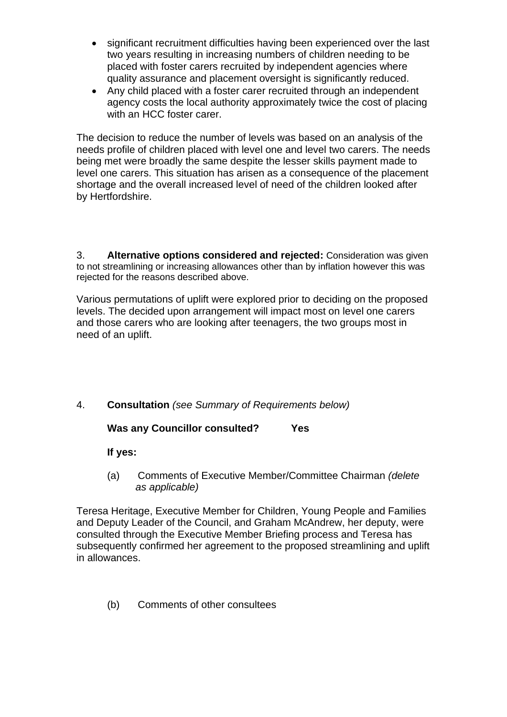- significant recruitment difficulties having been experienced over the last two years resulting in increasing numbers of children needing to be placed with foster carers recruited by independent agencies where quality assurance and placement oversight is significantly reduced.
- Any child placed with a foster carer recruited through an independent agency costs the local authority approximately twice the cost of placing with an HCC foster carer.

The decision to reduce the number of levels was based on an analysis of the needs profile of children placed with level one and level two carers. The needs being met were broadly the same despite the lesser skills payment made to level one carers. This situation has arisen as a consequence of the placement shortage and the overall increased level of need of the children looked after by Hertfordshire.

3. **Alternative options considered and rejected:** Consideration was given to not streamlining or increasing allowances other than by inflation however this was rejected for the reasons described above.

Various permutations of uplift were explored prior to deciding on the proposed levels. The decided upon arrangement will impact most on level one carers and those carers who are looking after teenagers, the two groups most in need of an uplift.

4. **Consultation** *(see Summary of Requirements below)*

**Was any Councillor consulted? Yes** 

**If yes:**

(a) Comments of Executive Member/Committee Chairman *(delete as applicable)*

Teresa Heritage, Executive Member for Children, Young People and Families and Deputy Leader of the Council, and Graham McAndrew, her deputy, were consulted through the Executive Member Briefing process and Teresa has subsequently confirmed her agreement to the proposed streamlining and uplift in allowances.

(b) Comments of other consultees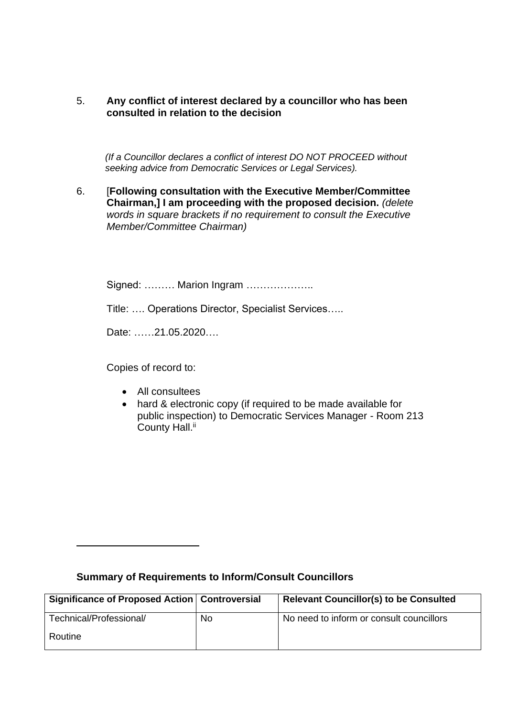## 5. **Any conflict of interest declared by a councillor who has been consulted in relation to the decision**

 *(If a Councillor declares a conflict of interest DO NOT PROCEED without seeking advice from Democratic Services or Legal Services).* 

6. [**Following consultation with the Executive Member/Committee Chairman,] I am proceeding with the proposed decision.** *(delete words in square brackets if no requirement to consult the Executive Member/Committee Chairman)*

Signed: ……… Marion Ingram ………………..

Title: …. Operations Director, Specialist Services…..

Date: ……21.05.2020….

Copies of record to:

- All consultees
- hard & electronic copy (if required to be made available for public inspection) to Democratic Services Manager - Room 213 County Hall.<sup>ii</sup>

| Significance of Proposed Action   Controversial |     | Relevant Councillor(s) to be Consulted   |
|-------------------------------------------------|-----|------------------------------------------|
| Technical/Professional/                         | No. | No need to inform or consult councillors |
| Routine                                         |     |                                          |

## **Summary of Requirements to Inform/Consult Councillors**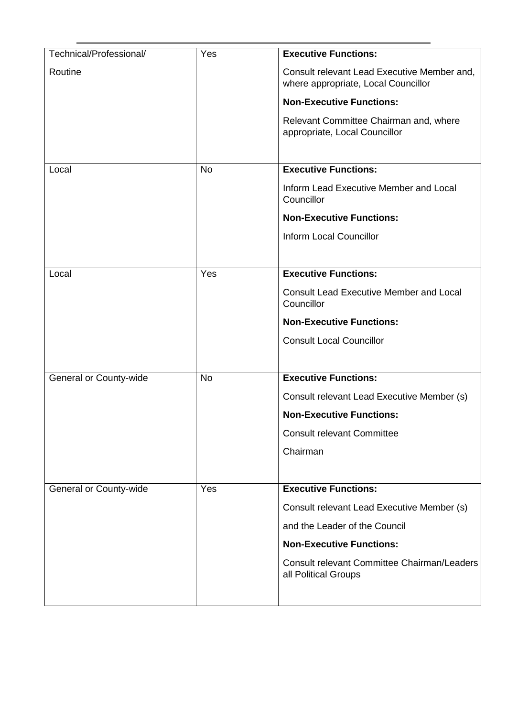| Technical/Professional/ | Yes       | <b>Executive Functions:</b>                                                        |
|-------------------------|-----------|------------------------------------------------------------------------------------|
| Routine                 |           | Consult relevant Lead Executive Member and,<br>where appropriate, Local Councillor |
|                         |           | <b>Non-Executive Functions:</b>                                                    |
|                         |           | Relevant Committee Chairman and, where<br>appropriate, Local Councillor            |
| Local                   | <b>No</b> | <b>Executive Functions:</b>                                                        |
|                         |           | Inform Lead Executive Member and Local<br>Councillor                               |
|                         |           | <b>Non-Executive Functions:</b>                                                    |
|                         |           | <b>Inform Local Councillor</b>                                                     |
|                         |           |                                                                                    |
| Local                   | Yes       | <b>Executive Functions:</b>                                                        |
|                         |           | <b>Consult Lead Executive Member and Local</b><br>Councillor                       |
|                         |           | <b>Non-Executive Functions:</b>                                                    |
|                         |           | <b>Consult Local Councillor</b>                                                    |
|                         |           |                                                                                    |
| General or County-wide  | <b>No</b> | <b>Executive Functions:</b>                                                        |
|                         |           | Consult relevant Lead Executive Member (s)                                         |
|                         |           | <b>Non-Executive Functions:</b>                                                    |
|                         |           | <b>Consult relevant Committee</b>                                                  |
|                         |           | Chairman                                                                           |
|                         |           |                                                                                    |
| General or County-wide  | Yes       | <b>Executive Functions:</b>                                                        |
|                         |           | Consult relevant Lead Executive Member (s)                                         |
|                         |           | and the Leader of the Council                                                      |
|                         |           | <b>Non-Executive Functions:</b>                                                    |
|                         |           | Consult relevant Committee Chairman/Leaders<br>all Political Groups                |
|                         |           |                                                                                    |